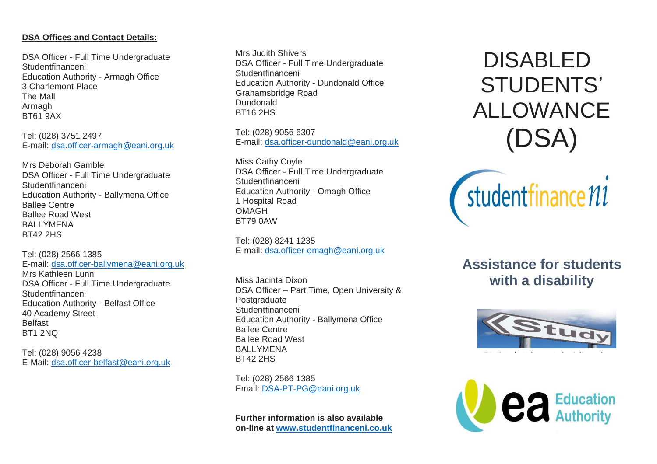# **DSA Offices and Contact Details:**

DSA Officer - Full Time Undergraduate Studentfinanceni Education Authority - Armagh Office 3 Charlemont Place The Mall Armagh BT61 9AX

Tel: (028) 3751 2497 E-mail: [dsa.officer-armagh@eani.org.uk](mailto:dsa.officer-armagh@eani.org.uk)

Mrs Deborah Gamble DSA Officer - Full Time Undergraduate Studentfinanceni Education Authority - Ballymena Office Ballee Centre Ballee Road West BALLYMENA BT42 2HS

Tel: (028) 2566 1385 E-mail: [dsa.officer-ballymena@eani.org.uk](mailto:dsa.officer-ballymena@eani.org.uk) Mrs Kathleen Lunn DSA Officer - Full Time Undergraduate Studentfinanceni Education Authority - Belfast Office 40 Academy Street Belfast BT1 2NQ

Tel: (028) 9056 4238 E-Mail: [dsa.officer-belfast@eani.org.uk](mailto:dsa.officer-belfast@eani.org.uk) Mrs Judith Shivers DSA Officer - Full Time Undergraduate Studentfinanceni Education Authority - Dundonald Office Grahamsbridge Road Dundonald BT16 2HS

Tel: (028) 9056 6307 E-mail: [dsa.officer-dundonald@eani.org.uk](mailto:dsa.officer-dundonald@eani.org.uk)

Miss Cathy Coyle DSA Officer - Full Time Undergraduate Studentfinanceni Education Authority - Omagh Office 1 Hospital Road OMAGH BT79 0AW

Tel: (028) 8241 1235 E-mail: [dsa.officer-omagh@eani.org.uk](mailto:dsa.officer-omagh@eani.org.uk)

Miss Jacinta Dixon DSA Officer – Part Time, Open University & Postgraduate Studentfinanceni Education Authority - Ballymena Office Ballee Centre Ballee Road West BALLYMENA BT42 2HS

Tel: (028) 2566 1385 Email: [DSA-PT-PG@eani.org.uk](mailto:DSA-PT-PG@eani.org.uk)

**Further information is also available on-line at [www.studentfinanceni.co.uk](http://www.studentfinanceni.co.uk/)**

DISABLED STUDENTS' ALLOWANCE (DSA)



**Assistance for students with a disability**